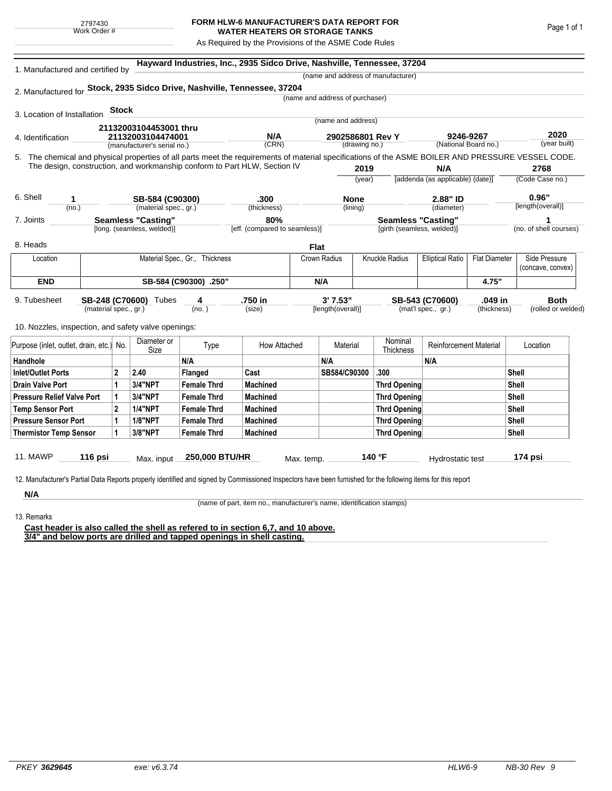## **FORM HLW-6 MANUFACTURER'S DATA REPORT FOR WATER HEATERS OR STORAGE TANKS**

As Required by the Provisions of the ASME Code Rules

| 1. Manufactured and certified by                                                                                                                   |                                                                           |                                |                             |                    | Hayward Industries, Inc., 2935 Sidco Drive, Nashville, Tennessee, 37204 |                                 |                                        |                                    |                                   |                      |                      |                        |
|----------------------------------------------------------------------------------------------------------------------------------------------------|---------------------------------------------------------------------------|--------------------------------|-----------------------------|--------------------|-------------------------------------------------------------------------|---------------------------------|----------------------------------------|------------------------------------|-----------------------------------|----------------------|----------------------|------------------------|
|                                                                                                                                                    |                                                                           |                                |                             |                    |                                                                         |                                 |                                        | (name and address of manufacturer) |                                   |                      |                      |                        |
| 2. Manufactured for Stock, 2935 Sidco Drive, Nashville, Tennessee, 37204                                                                           |                                                                           |                                |                             |                    |                                                                         |                                 |                                        |                                    |                                   |                      |                      |                        |
|                                                                                                                                                    |                                                                           |                                |                             |                    |                                                                         | (name and address of purchaser) |                                        |                                    |                                   |                      |                      |                        |
| 3. Location of Installation                                                                                                                        |                                                                           | <b>Stock</b>                   |                             |                    |                                                                         |                                 |                                        |                                    |                                   |                      |                      |                        |
|                                                                                                                                                    | 21132003104453001 thru                                                    |                                |                             |                    |                                                                         |                                 | (name and address)<br>2902586801 Rev Y |                                    |                                   |                      |                      |                        |
| 4. Identification                                                                                                                                  |                                                                           | 21132003104474001              |                             |                    | N/A                                                                     |                                 |                                        |                                    | 9246-9267<br>(National Board no.) |                      | 2020<br>(year built) |                        |
|                                                                                                                                                    |                                                                           |                                | (manufacturer's serial no.) |                    | (CRN)                                                                   |                                 | (drawing no.)                          |                                    |                                   |                      |                      |                        |
| 5. The chemical and physical properties of all parts meet the requirements of material specifications of the ASME BOILER AND PRESSURE VESSEL CODE. |                                                                           |                                |                             |                    |                                                                         |                                 |                                        |                                    |                                   |                      |                      |                        |
|                                                                                                                                                    | The design, construction, and workmanship conform to Part HLW, Section IV |                                |                             |                    |                                                                         |                                 | 2019                                   |                                    | N/A                               |                      | 2768                 |                        |
|                                                                                                                                                    |                                                                           |                                |                             |                    |                                                                         |                                 | (year)                                 |                                    | [addenda (as applicable) (date)]  |                      |                      | (Code Case no.)        |
| 6. Shell<br>1.                                                                                                                                     |                                                                           |                                | SB-584 (C90300)             |                    | .300                                                                    |                                 | <b>None</b>                            |                                    | 2.88" ID                          |                      |                      | 0.96"                  |
| (no.)                                                                                                                                              |                                                                           |                                | (material spec., gr.)       | (thickness)        |                                                                         |                                 | (lining)                               |                                    | (diameter)                        |                      | [length(overall)]    |                        |
| 7. Joints                                                                                                                                          | <b>Seamless "Casting"</b>                                                 |                                |                             | 80%                |                                                                         | <b>Seamless "Casting"</b>       |                                        |                                    |                                   | 1                    |                      |                        |
|                                                                                                                                                    |                                                                           |                                | [long. (seamless, welded)]  |                    | [eff. (compared to seamless)]                                           |                                 |                                        | [girth (seamless, welded)]         |                                   |                      |                      | (no. of shell courses) |
| 8. Heads                                                                                                                                           |                                                                           |                                |                             |                    |                                                                         | <b>Flat</b>                     |                                        |                                    |                                   |                      |                      |                        |
| Location                                                                                                                                           |                                                                           | Material Spec., Gr., Thickness |                             |                    |                                                                         | Crown Radius                    | Knuckle Radius                         |                                    | <b>Elliptical Ratio</b>           | <b>Flat Diameter</b> |                      | Side Pressure          |
|                                                                                                                                                    |                                                                           |                                |                             |                    |                                                                         |                                 |                                        |                                    |                                   | (concave, convex)    |                      |                        |
| <b>END</b>                                                                                                                                         | SB-584 (C90300) .250"                                                     |                                |                             |                    |                                                                         | N/A                             |                                        |                                    |                                   | 4.75"                |                      |                        |
| 9. Tubesheet                                                                                                                                       |                                                                           | SB-248 (C70600) Tubes<br>4     |                             |                    | .750 in                                                                 |                                 | 3' 7.53"                               |                                    | SB-543 (C70600)<br>.049 in        |                      |                      | <b>Both</b>            |
|                                                                                                                                                    | (material spec., gr.)                                                     |                                |                             | (no. )             | (size)                                                                  | [length(overall)]               |                                        |                                    | (mat'l spec., gr.)                | (thickness)          |                      | (rolled or welded)     |
| 10. Nozzles, inspection, and safety valve openings:                                                                                                |                                                                           |                                |                             |                    |                                                                         |                                 |                                        |                                    |                                   |                      |                      |                        |
|                                                                                                                                                    |                                                                           |                                | Diameter or                 |                    |                                                                         | Material                        |                                        | Nominal                            | Reinforcement Material            |                      | Location             |                        |
| Purpose (inlet, outlet, drain, etc.)                                                                                                               |                                                                           | No.                            | Type<br>Size                |                    | How Attached                                                            |                                 |                                        | Thickness                          |                                   |                      |                      |                        |
| Handhole                                                                                                                                           |                                                                           |                                |                             | N/A                |                                                                         | N/A                             |                                        |                                    | N/A                               |                      |                      |                        |
| Inlet/Outlet Ports                                                                                                                                 |                                                                           | $\mathbf{2}$                   | 2.40                        | Flanged            | Cast                                                                    |                                 | SB584/C90300                           | .300                               |                                   |                      | Shell                |                        |
| <b>Drain Valve Port</b>                                                                                                                            |                                                                           | 1                              | <b>3/4"NPT</b>              | <b>Female Thrd</b> | <b>Machined</b>                                                         |                                 | <b>Thrd Opening</b>                    |                                    |                                   |                      | Shell                |                        |
| <b>Pressure Relief Valve Port</b>                                                                                                                  |                                                                           | 1                              | 3/4"NPT                     | <b>Female Thrd</b> | <b>Machined</b>                                                         |                                 |                                        | Thrd Opening                       |                                   |                      | Shell                |                        |
| <b>Temp Sensor Port</b>                                                                                                                            |                                                                           | $\mathbf{2}$                   | <b>1/4"NPT</b>              | <b>Female Thrd</b> | <b>Machined</b>                                                         |                                 |                                        | <b>Thrd Opening</b>                |                                   |                      | Shell                |                        |
| <b>Pressure Sensor Port</b>                                                                                                                        |                                                                           | 1                              | <b>1/8"NPT</b>              | <b>Female Thrd</b> | <b>Machined</b>                                                         |                                 |                                        | <b>Thrd Opening</b>                |                                   |                      | Shell                |                        |
| <b>Thermistor Temp Sensor</b>                                                                                                                      |                                                                           | 1                              | 3/8"NPT                     | <b>Female Thrd</b> | <b>Machined</b>                                                         |                                 |                                        | <b>Thrd Opening</b>                |                                   |                      | Shell                |                        |
|                                                                                                                                                    |                                                                           |                                |                             |                    |                                                                         |                                 |                                        |                                    |                                   |                      |                      |                        |
| <b>11. MAWP</b>                                                                                                                                    | 116 psi                                                                   |                                | Max. input                  | 250,000 BTU/HR     |                                                                         | Max. temp.                      |                                        | 140 °F                             | Hydrostatic test                  |                      | 174 psi              |                        |

13. Remarks

(name of part, item no., manufacturer's name, identification stamps)

**Cast header is also called the shell as refered to in section 6,7, and 10 above. 3/4" and below ports are drilled and tapped openings in shell casting.**